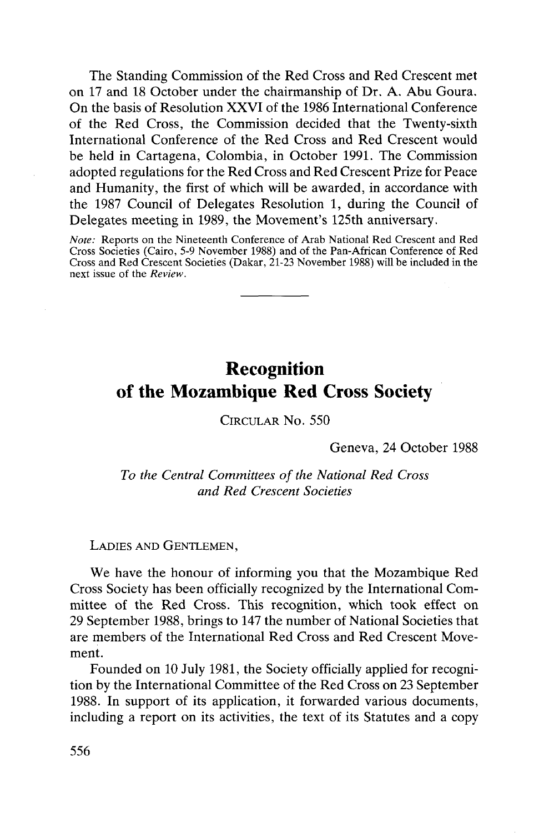The Standing Commission of the Red Cross and Red Crescent met on 17 and 18 October under the chairmanship of Dr. A. Abu Goura. On the basis of Resolution XXVI of the 1986 International Conference of the Red Cross, the Commission decided that the Twenty-sixth International Conference of the Red Cross and Red Crescent would be held in Cartagena, Colombia, in October 1991. The Commission adopted regulations for the Red Cross and Red Crescent Prize for Peace and Humanity, the first of which will be awarded, in accordance with the 1987 Council of Delegates Resolution 1, during the Council of Delegates meeting in 1989, the Movement's 125th anniversary.

*Note:* Reports on the Nineteenth Conference of Arab National Red Crescent and Red Cross Societies (Cairo, 5-9 November 1988) and of the Pan-African Conference of Red Cross and Red Crescent Societies (Dakar, 21-23 November 1988) will be included in the next issue of the *Review.*

## Recognition of the Mozambique Red Cross Society

CIRCULAR No. 550

Geneva, 24 October 1988

*To the Central Committees of the National Red Cross and Red Crescent Societies*

## LADIES AND GENTLEMEN,

We have the honour of informing you that the Mozambique Red Cross Society has been officially recognized by the International Committee of the Red Cross. This recognition, which took effect on 29 September 1988, brings to 147 the number of National Societies that are members of the International Red Cross and Red Crescent Movement.

Founded on 10 July 1981, the Society officially applied for recognition by the International Committee of the Red Cross on 23 September 1988. In support of its application, it forwarded various documents, including a report on its activities, the text of its Statutes and a copy